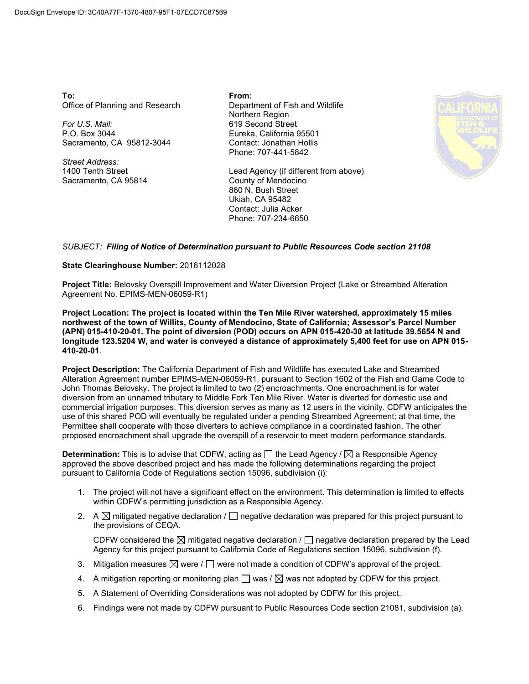**To:** Office of Planning and Research

*For U.S. Mail:* P.O. Box 3044 Sacramento, CA 95812-3044

*Street Address:* 1400 Tenth Street Sacramento, CA 95814 **From:** Department of Fish and Wildlife Northern Region 619 Second Street Eureka, California 95501 Contact: Jonathan Hollis Phone: 707-441-5842

Lead Agency (if different from above) County of Mendocino 860 N. Bush Street Ukiah, CA 95482 Contact: Julia Acker Phone: 707-234-6650



## *SUBJECT: Filing of Notice of Determination pursuant to Public Resources Code section 21108*

## **State Clearinghouse Number:** 2016112028

**Project Title:** Belovsky Overspill Improvement and Water Diversion Project (Lake or Streambed Alteration Agreement No. EPIMS-MEN-06059-R1)

**Project Location: The project is located within the Ten Mile River watershed, approximately 15 miles northwest of the town of Willits, County of Mendocino, State of California; Assessor's Parcel Number (APN) 015-410-20-01. The point of diversion (POD) occurs on APN 015-420-30 at latitude 39.5654 N and longitude 123.5204 W, and water is conveyed a distance of approximately 5,400 feet for use on APN 015- 410-20-01**.

**Project Description:** The California Department of Fish and Wildlife has executed Lake and Streambed Alteration Agreement number EPIMS-MEN-06059-R1, pursuant to Section 1602 of the Fish and Game Code to John Thomas Belovsky. The project is limited to two (2) encroachments. One encroachment is for water diversion from an unnamed tributary to Middle Fork Ten Mile River. Water is diverted for domestic use and commercial irrigation purposes. This diversion serves as many as 12 users in the vicinity. CDFW anticipates the use of this shared POD will eventually be regulated under a pending Streambed Agreement; at that time, the Permittee shall cooperate with those diverters to achieve compliance in a coordinated fashion. The other proposed encroachment shall upgrade the overspill of a reservoir to meet modern performance standards.

 $\bm{\mathsf{Determination:}}$  This is to advise that CDFW, acting as  $\Box$  the Lead Agency /  $\boxtimes$  a Responsible Agency approved the above described project and has made the following determinations regarding the project pursuant to California Code of Regulations section 15096, subdivision (i):

- 1. The project will not have a significant effect on the environment. This determination is limited to effects within CDFW's permitting jurisdiction as a Responsible Agency.
- 2.  $\;\mathsf{A} \boxtimes$  mitigated negative declaration /  $\Box$  negative declaration was prepared for this project pursuant to the provisions of CEQA.

CDFW considered the  $\boxtimes$  mitigated negative declaration /  $\Box$  negative declaration prepared by the Lead Agency for this project pursuant to California Code of Regulations section 15096, subdivision (f).

- 3. Mitigation measures  $\boxtimes$  were /  $\Box$  were not made a condition of CDFW's approval of the project.
- 4.  $\,$  A mitigation reporting or monitoring plan  $\Box$  was /  $\boxtimes$  was not adopted by CDFW for this project.
- 5. A Statement of Overriding Considerations was not adopted by CDFW for this project.
- 6. Findings were not made by CDFW pursuant to Public Resources Code section 21081, subdivision (a).